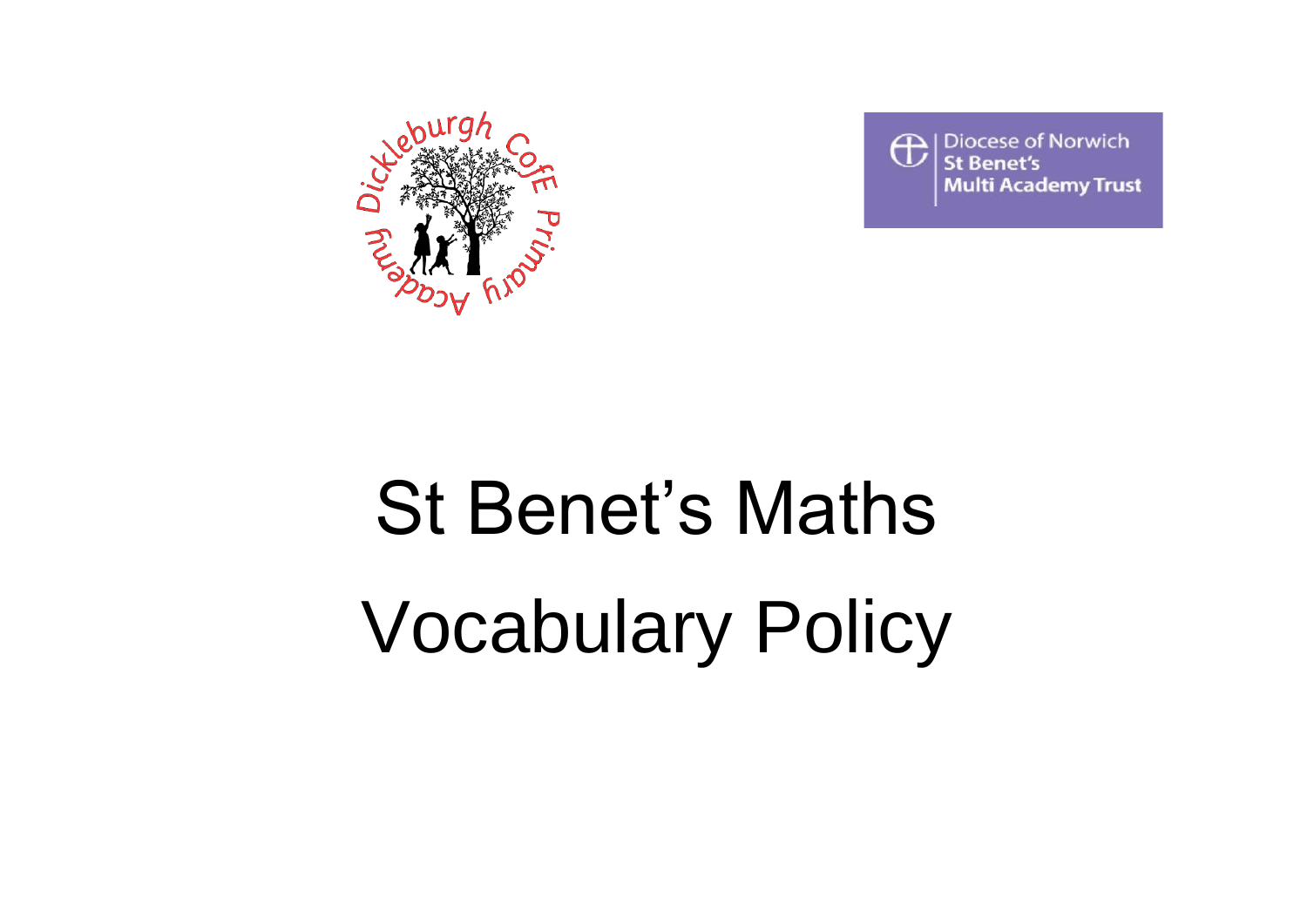



## St Benet's Maths Vocabulary Policy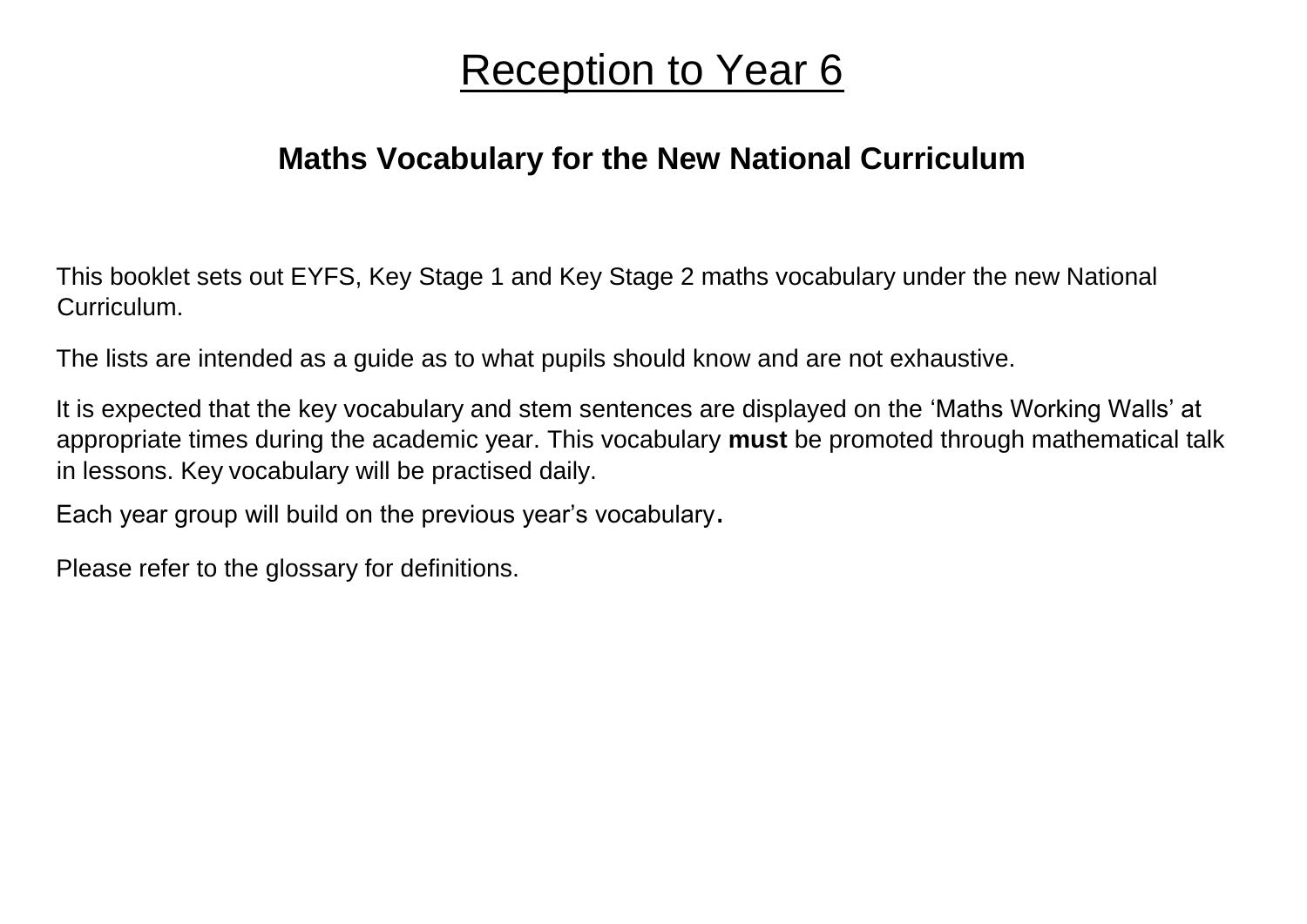## Reception to Year 6

## **Maths Vocabulary for the New National Curriculum**

This booklet sets out EYFS, Key Stage 1 and Key Stage 2 maths vocabulary under the new National Curriculum.

The lists are intended as a guide as to what pupils should know and are not exhaustive.

It is expected that the key vocabulary and stem sentences are displayed on the 'Maths Working Walls' at appropriate times during the academic year. This vocabulary **must** be promoted through mathematical talk in lessons. Key vocabulary will be practised daily.

Each year group will build on the previous year's vocabulary.

Please refer to the glossary for definitions.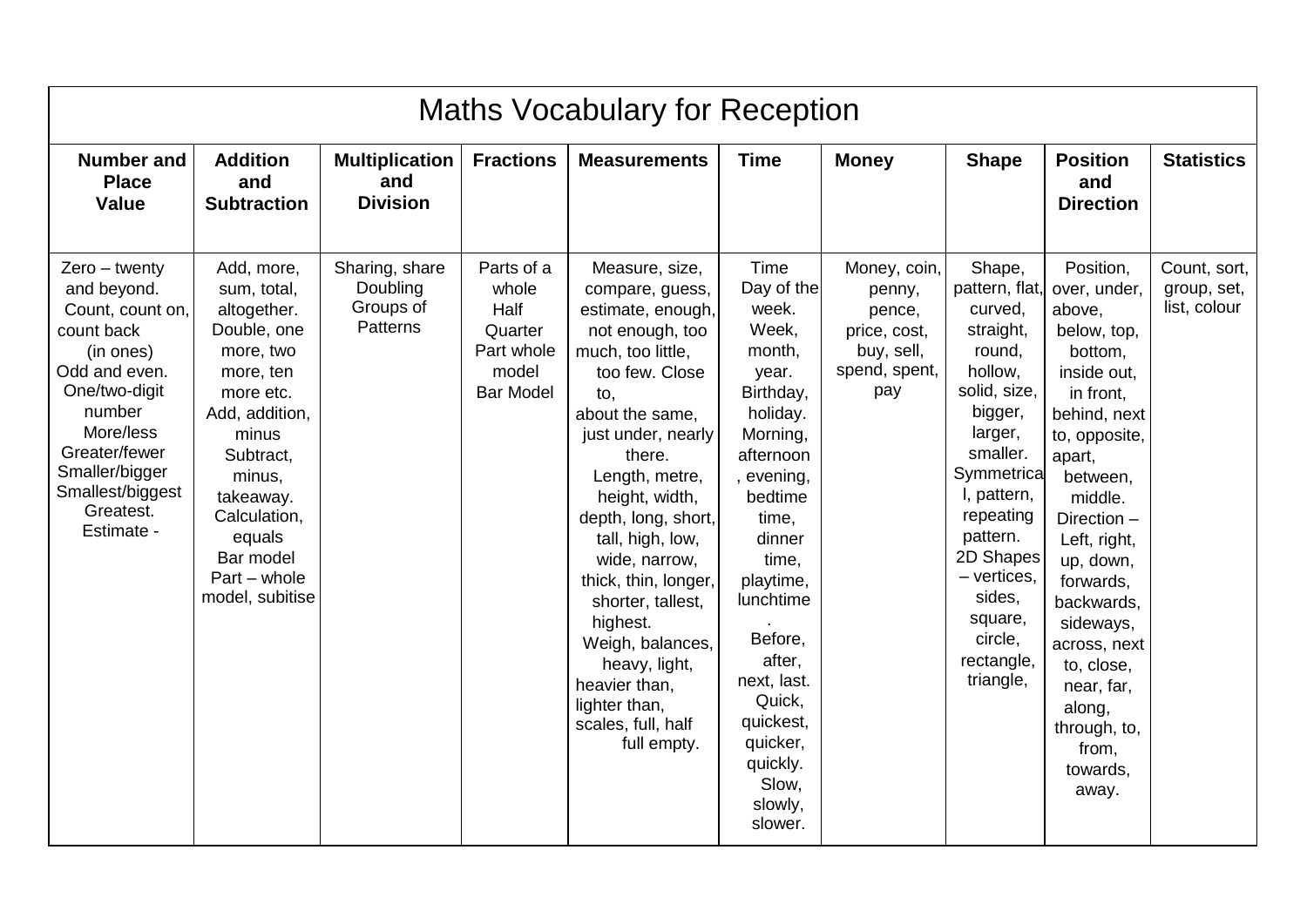| <b>Maths Vocabulary for Reception</b>                                                                                                                                                                                    |                                                                                                                                                                                                                                           |                                                     |                                                                                   |                                                                                                                                                                                                                                                                                                                                                                                                                                                 |                                                                                                                                                                                                                                                                                                            |                                                                                        |                                                                                                                                                                                                                                                                        |                                                                                                                                                                                                                                                                                                                                                     |                                             |  |
|--------------------------------------------------------------------------------------------------------------------------------------------------------------------------------------------------------------------------|-------------------------------------------------------------------------------------------------------------------------------------------------------------------------------------------------------------------------------------------|-----------------------------------------------------|-----------------------------------------------------------------------------------|-------------------------------------------------------------------------------------------------------------------------------------------------------------------------------------------------------------------------------------------------------------------------------------------------------------------------------------------------------------------------------------------------------------------------------------------------|------------------------------------------------------------------------------------------------------------------------------------------------------------------------------------------------------------------------------------------------------------------------------------------------------------|----------------------------------------------------------------------------------------|------------------------------------------------------------------------------------------------------------------------------------------------------------------------------------------------------------------------------------------------------------------------|-----------------------------------------------------------------------------------------------------------------------------------------------------------------------------------------------------------------------------------------------------------------------------------------------------------------------------------------------------|---------------------------------------------|--|
| <b>Number and</b><br><b>Place</b><br><b>Value</b>                                                                                                                                                                        | <b>Addition</b><br>and<br><b>Subtraction</b>                                                                                                                                                                                              | <b>Multiplication</b><br>and<br><b>Division</b>     | <b>Fractions</b>                                                                  | <b>Measurements</b>                                                                                                                                                                                                                                                                                                                                                                                                                             | <b>Time</b>                                                                                                                                                                                                                                                                                                | <b>Money</b>                                                                           | <b>Shape</b>                                                                                                                                                                                                                                                           | <b>Position</b><br>and<br><b>Direction</b>                                                                                                                                                                                                                                                                                                          | <b>Statistics</b>                           |  |
| $Zero - twenty$<br>and beyond.<br>Count, count on,<br>count back<br>(in ones)<br>Odd and even.<br>One/two-digit<br>number<br>More/less<br>Greater/fewer<br>Smaller/bigger<br>Smallest/biggest<br>Greatest.<br>Estimate - | Add, more,<br>sum, total,<br>altogether.<br>Double, one<br>more, two<br>more, ten<br>more etc.<br>Add, addition,<br>minus<br>Subtract,<br>minus,<br>takeaway.<br>Calculation,<br>equals<br>Bar model<br>$Part - whole$<br>model, subitise | Sharing, share<br>Doubling<br>Groups of<br>Patterns | Parts of a<br>whole<br>Half<br>Quarter<br>Part whole<br>model<br><b>Bar Model</b> | Measure, size,<br>compare, guess,<br>estimate, enough,<br>not enough, too<br>much, too little,<br>too few. Close<br>to,<br>about the same.<br>just under, nearly<br>there.<br>Length, metre,<br>height, width,<br>depth, long, short,<br>tall, high, low,<br>wide, narrow,<br>thick, thin, longer,<br>shorter, tallest,<br>highest.<br>Weigh, balances,<br>heavy, light,<br>heavier than,<br>lighter than,<br>scales, full, half<br>full empty. | Time<br>Day of the<br>week.<br>Week,<br>month,<br>year.<br>Birthday,<br>holiday.<br>Morning,<br>afternoon<br>, evening,<br>bedtime<br>time,<br>dinner<br>time,<br>playtime,<br>lunchtime<br>Before,<br>after,<br>next, last.<br>Quick,<br>quickest,<br>quicker,<br>quickly.<br>Slow,<br>slowly,<br>slower. | Money, coin,<br>penny,<br>pence,<br>price, cost,<br>buy, sell,<br>spend, spent,<br>pay | Shape,<br>pattern, flat,<br>curved,<br>straight,<br>round,<br>hollow,<br>solid, size,<br>bigger,<br>larger,<br>smaller.<br>Symmetrica<br>I, pattern,<br>repeating<br>pattern.<br>2D Shapes<br>$-$ vertices,<br>sides,<br>square,<br>circle,<br>rectangle,<br>triangle, | Position,<br>over, under,<br>above,<br>below, top,<br>bottom,<br>inside out.<br>in front,<br>behind, next<br>to, opposite,<br>apart,<br>between,<br>middle.<br>Direction -<br>Left, right,<br>up, down,<br>forwards,<br>backwards,<br>sideways,<br>across, next<br>to, close,<br>near, far,<br>along,<br>through, to,<br>from,<br>towards,<br>away. | Count, sort,<br>group, set,<br>list, colour |  |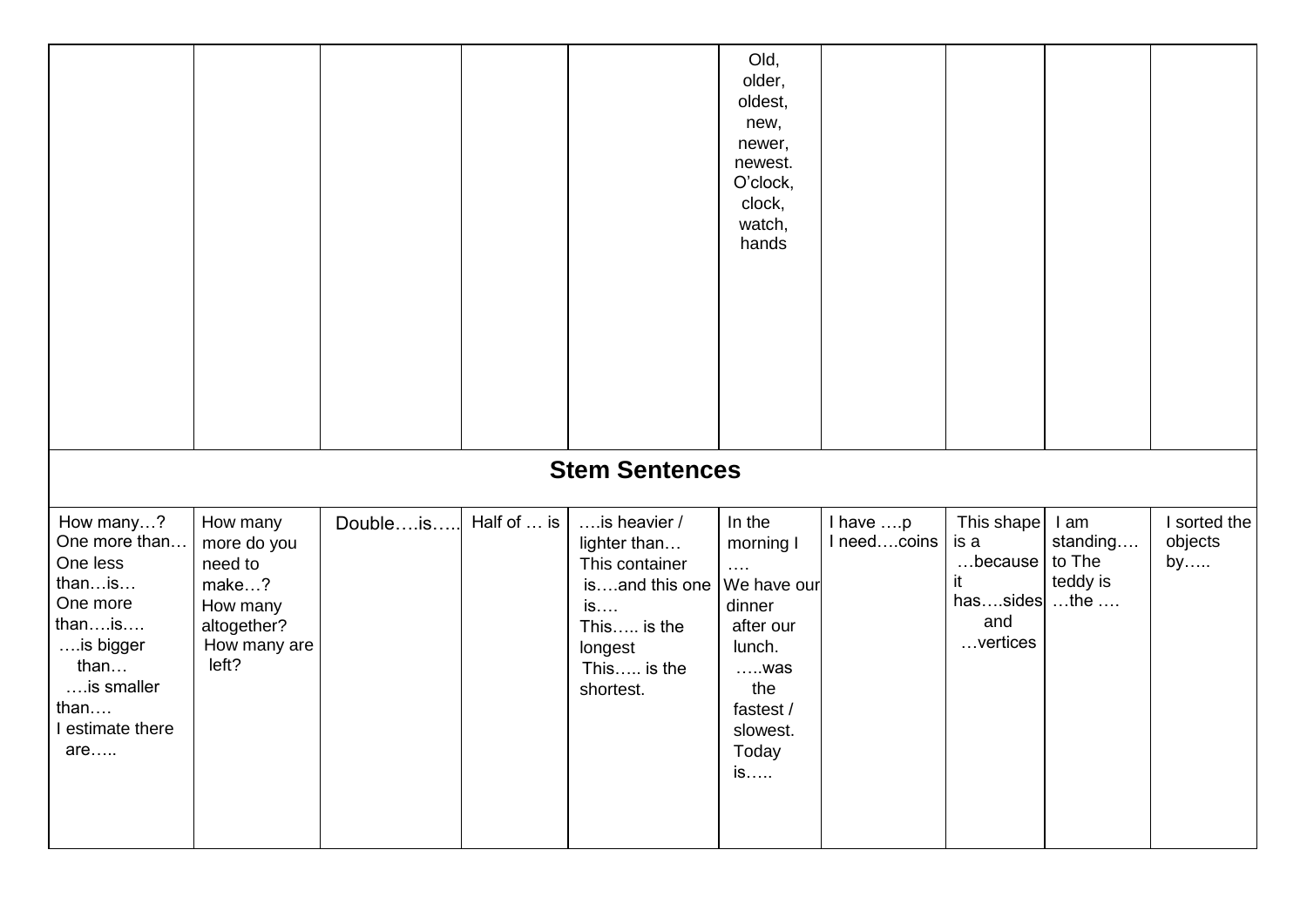|                                                                                                                                              |                                                                                                 |          |             |                                                                                                                              | Old,<br>older,<br>oldest,<br>new,<br>newer,<br>newest.<br>O'clock,<br>clock,<br>watch,<br>hands                                                   |                         |                                                                              |                                        |                               |
|----------------------------------------------------------------------------------------------------------------------------------------------|-------------------------------------------------------------------------------------------------|----------|-------------|------------------------------------------------------------------------------------------------------------------------------|---------------------------------------------------------------------------------------------------------------------------------------------------|-------------------------|------------------------------------------------------------------------------|----------------------------------------|-------------------------------|
|                                                                                                                                              |                                                                                                 |          |             | <b>Stem Sentences</b>                                                                                                        |                                                                                                                                                   |                         |                                                                              |                                        |                               |
| How many?<br>One more than<br>One less<br>thanis<br>One more<br>thanis<br>is bigger<br>than<br>is smaller<br>than<br>I estimate there<br>are | How many<br>more do you<br>need to<br>make?<br>How many<br>altogether?<br>How many are<br>left? | Doubleis | Half of  is | is heavier /<br>lighter than<br>This container<br>isand this one<br>is<br>This is the<br>longest<br>This is the<br>shortest. | In the<br>morning I<br>$\ldots$ .<br>We have our<br>dinner<br>after our<br>lunch.<br>$\dots$ . was<br>the<br>fastest /<br>slowest.<br>Today<br>is | I have p<br>I needcoins | This shape<br>is a<br>because<br>it<br>hassides $$ the $$<br>and<br>vertices | I am<br>standing<br>to The<br>teddy is | I sorted the<br>objects<br>by |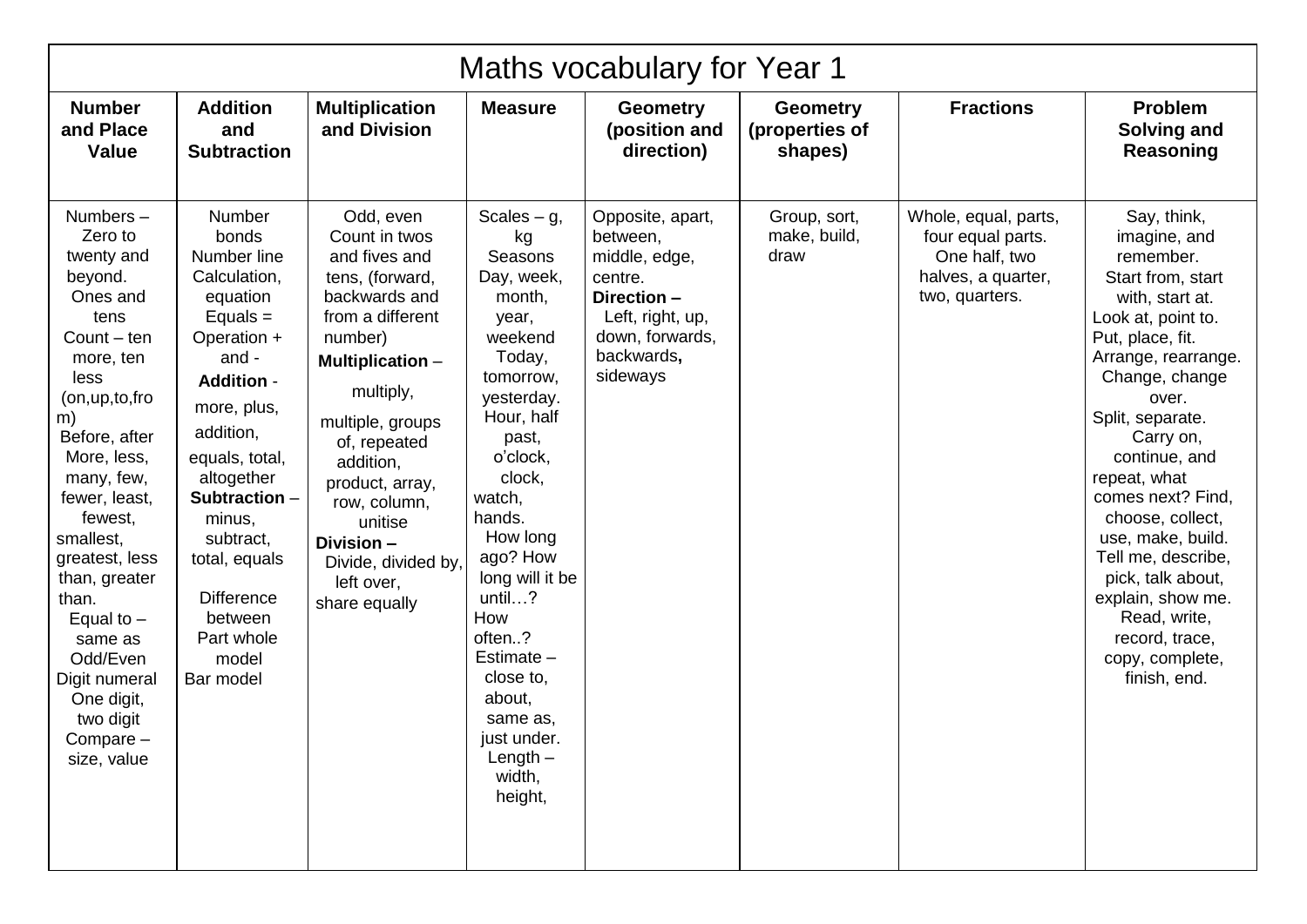| Maths vocabulary for Year 1                                                                                                                                                                                                                                                                                                                                                       |                                                                                                                                                                                                                                                                                                                |                                                                                                                                                                                                                                                                                                                           |                                                                                                                                                                                                                                                                                                                                                                   |                                                                                                                                          |                                              |                                                                                                    |                                                                                                                                                                                                                                                                                                                                                                                                                                                   |  |  |  |
|-----------------------------------------------------------------------------------------------------------------------------------------------------------------------------------------------------------------------------------------------------------------------------------------------------------------------------------------------------------------------------------|----------------------------------------------------------------------------------------------------------------------------------------------------------------------------------------------------------------------------------------------------------------------------------------------------------------|---------------------------------------------------------------------------------------------------------------------------------------------------------------------------------------------------------------------------------------------------------------------------------------------------------------------------|-------------------------------------------------------------------------------------------------------------------------------------------------------------------------------------------------------------------------------------------------------------------------------------------------------------------------------------------------------------------|------------------------------------------------------------------------------------------------------------------------------------------|----------------------------------------------|----------------------------------------------------------------------------------------------------|---------------------------------------------------------------------------------------------------------------------------------------------------------------------------------------------------------------------------------------------------------------------------------------------------------------------------------------------------------------------------------------------------------------------------------------------------|--|--|--|
| <b>Number</b><br>and Place<br>Value                                                                                                                                                                                                                                                                                                                                               | <b>Addition</b><br>and<br><b>Subtraction</b>                                                                                                                                                                                                                                                                   | <b>Multiplication</b><br>and Division                                                                                                                                                                                                                                                                                     | <b>Measure</b>                                                                                                                                                                                                                                                                                                                                                    | <b>Geometry</b><br>(position and<br>direction)                                                                                           | <b>Geometry</b><br>(properties of<br>shapes) | <b>Fractions</b>                                                                                   | <b>Problem</b><br><b>Solving and</b><br>Reasoning                                                                                                                                                                                                                                                                                                                                                                                                 |  |  |  |
| Numbers-<br>Zero to<br>twenty and<br>beyond.<br>Ones and<br>tens<br>Count $-$ ten<br>more, ten<br>less<br>(on, up, to, fro<br>m)<br>Before, after<br>More, less,<br>many, few,<br>fewer, least,<br>fewest,<br>smallest,<br>greatest, less<br>than, greater<br>than.<br>Equal to $-$<br>same as<br>Odd/Even<br>Digit numeral<br>One digit,<br>two digit<br>Compare-<br>size, value | Number<br>bonds<br>Number line<br>Calculation,<br>equation<br>Equals $=$<br>Operation +<br>and -<br><b>Addition -</b><br>more, plus,<br>addition,<br>equals, total,<br>altogether<br>Subtraction -<br>minus,<br>subtract,<br>total, equals<br><b>Difference</b><br>between<br>Part whole<br>model<br>Bar model | Odd, even<br>Count in twos<br>and fives and<br>tens, (forward,<br>backwards and<br>from a different<br>number)<br><b>Multiplication -</b><br>multiply,<br>multiple, groups<br>of, repeated<br>addition,<br>product, array,<br>row, column,<br>unitise<br>Division -<br>Divide, divided by,<br>left over,<br>share equally | Scales $- g$ ,<br>kg<br><b>Seasons</b><br>Day, week,<br>month,<br>year,<br>weekend<br>Today,<br>tomorrow,<br>yesterday.<br>Hour, half<br>past,<br>o'clock,<br>clock,<br>watch,<br>hands.<br>How long<br>ago? How<br>long will it be<br>until?<br>How<br>often?<br>Estimate -<br>close to,<br>about,<br>same as,<br>just under.<br>Length $-$<br>width,<br>height, | Opposite, apart,<br>between,<br>middle, edge,<br>centre.<br>Direction -<br>Left, right, up,<br>down, forwards,<br>backwards,<br>sideways | Group, sort,<br>make, build,<br>draw         | Whole, equal, parts,<br>four equal parts.<br>One half, two<br>halves, a quarter,<br>two, quarters. | Say, think,<br>imagine, and<br>remember.<br>Start from, start<br>with, start at.<br>Look at, point to.<br>Put, place, fit.<br>Arrange, rearrange.<br>Change, change<br>over.<br>Split, separate.<br>Carry on,<br>continue, and<br>repeat, what<br>comes next? Find,<br>choose, collect,<br>use, make, build.<br>Tell me, describe,<br>pick, talk about,<br>explain, show me.<br>Read, write,<br>record, trace,<br>copy, complete,<br>finish, end. |  |  |  |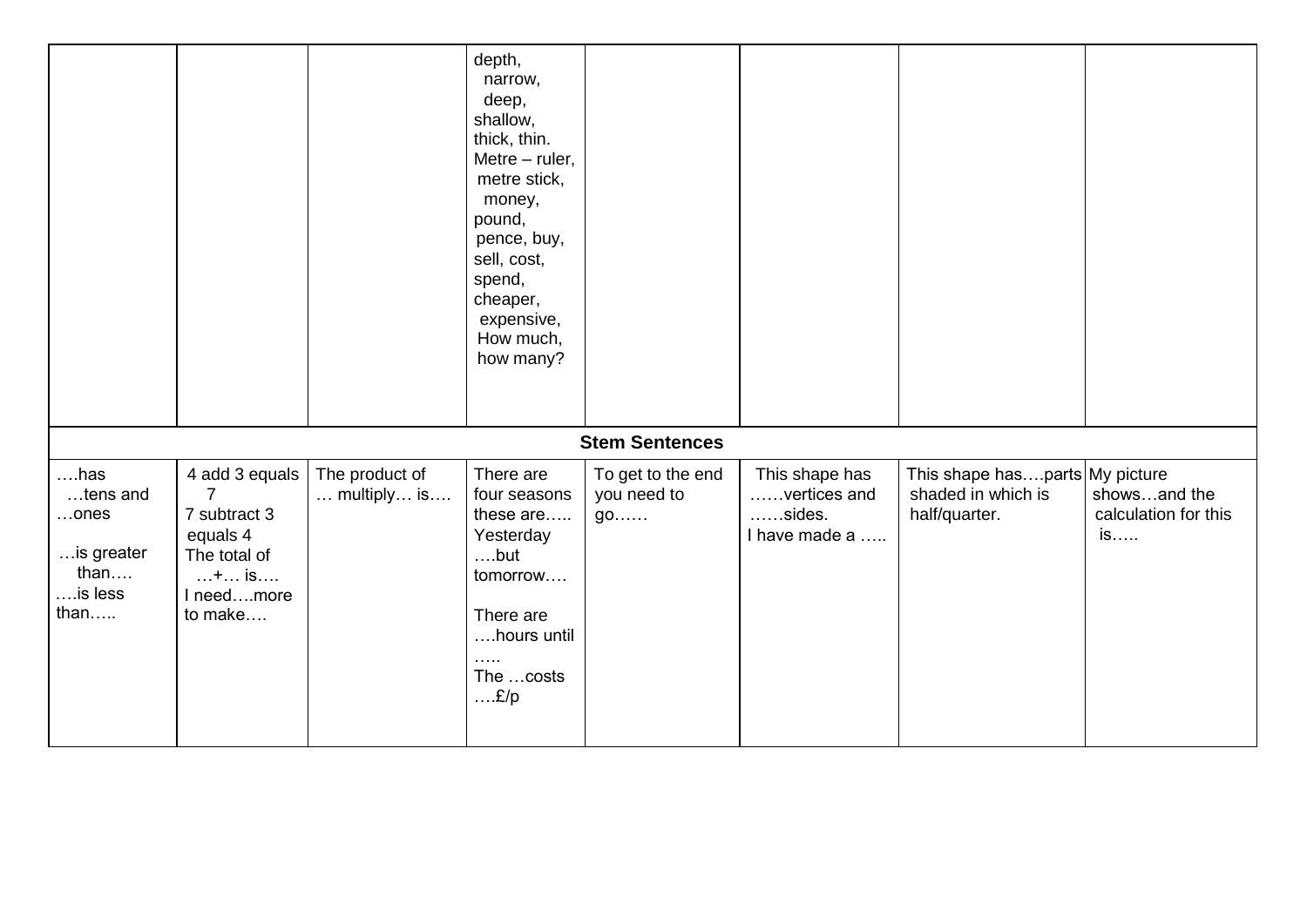|                                                                                |                                                                                                                 |                                               | depth,<br>narrow,<br>deep,<br>shallow,<br>thick, thin.<br>Metre - ruler,<br>metre stick,<br>money,<br>pound,<br>pence, buy,<br>sell, cost,<br>spend,<br>cheaper,<br>expensive,<br>How much,<br>how many? |                                        |                                                                   |                                                                       |                                            |
|--------------------------------------------------------------------------------|-----------------------------------------------------------------------------------------------------------------|-----------------------------------------------|----------------------------------------------------------------------------------------------------------------------------------------------------------------------------------------------------------|----------------------------------------|-------------------------------------------------------------------|-----------------------------------------------------------------------|--------------------------------------------|
|                                                                                |                                                                                                                 |                                               |                                                                                                                                                                                                          | <b>Stem Sentences</b>                  |                                                                   |                                                                       |                                            |
| $\dots$ has<br>tens and<br>$$ ones<br>is greater<br>than<br>$$ is less<br>than | 4 add 3 equals<br>$\overline{7}$<br>7 subtract 3<br>equals 4<br>The total of<br>$+$ is<br>I needmore<br>to make | The product of<br>$\dots$ multiply $\dots$ is | There are<br>four seasons<br>these are<br>Yesterday<br>$$ but<br>tomorrow<br>There are<br>hours until<br>.<br>The  costs<br>E/p                                                                          | To get to the end<br>you need to<br>go | This shape has<br>vertices and<br>$\dots$ sides.<br>I have made a | This shape hasparts My picture<br>shaded in which is<br>half/quarter. | showsand the<br>calculation for this<br>is |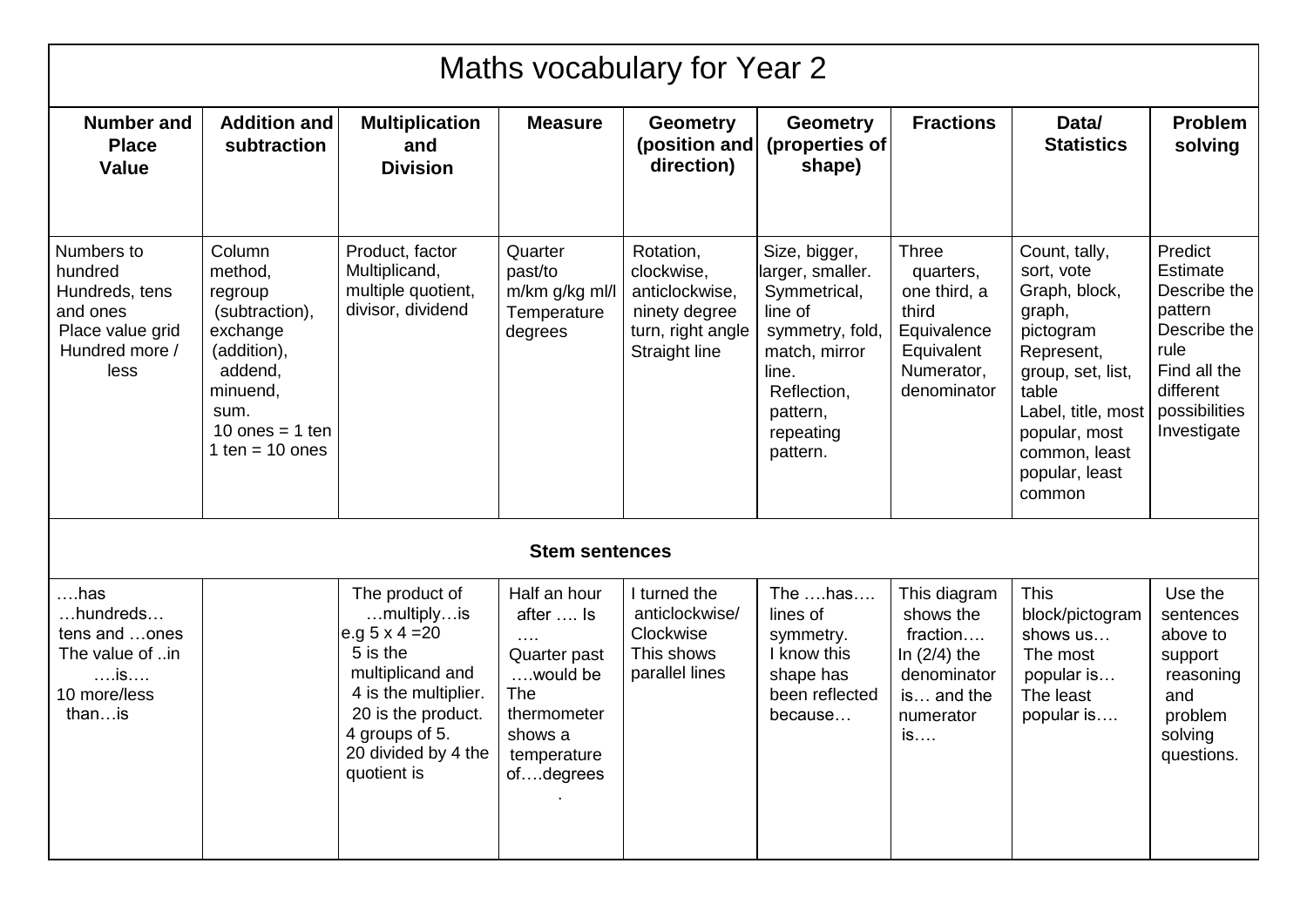|                                                                                                   |                                                                                                                                                    |                                                                                                                                                                                             |                                                                                                                                  | Maths vocabulary for Year 2                                                                      |                                                                                                                                                               |                                                                                                              |                                                                                                                                                                                                     |                                                                                                                                     |
|---------------------------------------------------------------------------------------------------|----------------------------------------------------------------------------------------------------------------------------------------------------|---------------------------------------------------------------------------------------------------------------------------------------------------------------------------------------------|----------------------------------------------------------------------------------------------------------------------------------|--------------------------------------------------------------------------------------------------|---------------------------------------------------------------------------------------------------------------------------------------------------------------|--------------------------------------------------------------------------------------------------------------|-----------------------------------------------------------------------------------------------------------------------------------------------------------------------------------------------------|-------------------------------------------------------------------------------------------------------------------------------------|
| <b>Number and</b><br><b>Place</b><br><b>Value</b>                                                 | <b>Addition and</b><br>subtraction                                                                                                                 | <b>Multiplication</b><br>and<br><b>Division</b>                                                                                                                                             | <b>Measure</b>                                                                                                                   | <b>Geometry</b><br>(position and<br>direction)                                                   | <b>Geometry</b><br>(properties of<br>shape)                                                                                                                   | <b>Fractions</b>                                                                                             | Data/<br><b>Statistics</b>                                                                                                                                                                          | Problem<br>solving                                                                                                                  |
| Numbers to<br>hundred<br>Hundreds, tens<br>and ones<br>Place value grid<br>Hundred more /<br>less | Column<br>method,<br>regroup<br>(subtraction),<br>exchange<br>(addition),<br>addend,<br>minuend,<br>sum.<br>10 ones $= 1$ ten<br>1 ten = $10$ ones | Product, factor<br>Multiplicand,<br>multiple quotient,<br>divisor, dividend                                                                                                                 | Quarter<br>past/to<br>m/km g/kg ml/l<br>Temperature<br>degrees                                                                   | Rotation,<br>clockwise,<br>anticlockwise,<br>ninety degree<br>turn, right angle<br>Straight line | Size, bigger,<br>larger, smaller.<br>Symmetrical,<br>line of<br>symmetry, fold,<br>match, mirror<br>line.<br>Reflection,<br>pattern,<br>repeating<br>pattern. | <b>Three</b><br>quarters,<br>one third, a<br>third<br>Equivalence<br>Equivalent<br>Numerator,<br>denominator | Count, tally,<br>sort, vote<br>Graph, block,<br>graph,<br>pictogram<br>Represent,<br>group, set, list,<br>table<br>Label, title, most<br>popular, most<br>common, least<br>popular, least<br>common | Predict<br>Estimate<br>Describe the<br>pattern<br>Describe the<br>rule<br>Find all the<br>different<br>possibilities<br>Investigate |
|                                                                                                   |                                                                                                                                                    |                                                                                                                                                                                             | <b>Stem sentences</b>                                                                                                            |                                                                                                  |                                                                                                                                                               |                                                                                                              |                                                                                                                                                                                                     |                                                                                                                                     |
| ….has<br>hundreds<br>tens and ones<br>The value of in<br>is<br>10 more/less<br>thanis             |                                                                                                                                                    | The product of<br>multiplyis<br>e.g $5 \times 4 = 20$<br>5 is the<br>multiplicand and<br>4 is the multiplier.<br>20 is the product.<br>4 groups of 5.<br>20 divided by 4 the<br>quotient is | Half an hour<br>after  Is<br>$\cdots$ .<br>Quarter past<br>would be<br>The<br>thermometer<br>shows a<br>temperature<br>ofdegrees | I turned the<br>anticlockwise/<br>Clockwise<br>This shows<br>parallel lines                      | The has<br>lines of<br>symmetry.<br>I know this<br>shape has<br>been reflected<br>because                                                                     | This diagram<br>shows the<br>fraction<br>In $(2/4)$ the<br>denominator<br>is and the<br>numerator<br>IS      | <b>This</b><br>block/pictogram<br>shows us<br>The most<br>popular is<br>The least<br>popular is                                                                                                     | Use the<br>sentences<br>above to<br>support<br>reasoning<br>and<br>problem<br>solving<br>questions.                                 |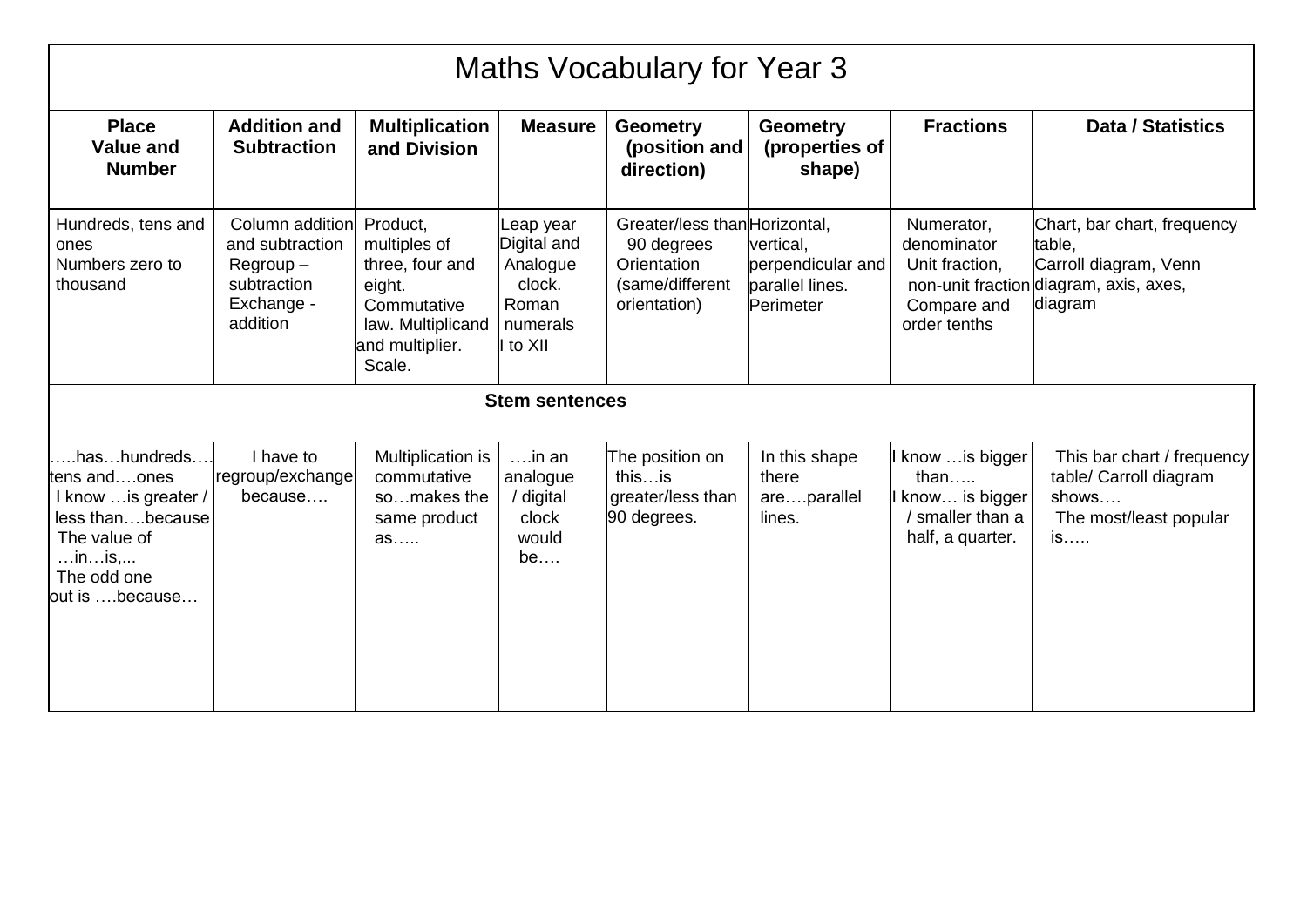|                                                                                                                                                             | <b>Maths Vocabulary for Year 3</b>                                                         |                                                                                                                        |                                                                                 |                                                                                               |                                                                |                                                                                       |                                                                                                                     |  |  |  |
|-------------------------------------------------------------------------------------------------------------------------------------------------------------|--------------------------------------------------------------------------------------------|------------------------------------------------------------------------------------------------------------------------|---------------------------------------------------------------------------------|-----------------------------------------------------------------------------------------------|----------------------------------------------------------------|---------------------------------------------------------------------------------------|---------------------------------------------------------------------------------------------------------------------|--|--|--|
| <b>Place</b><br><b>Value and</b><br><b>Number</b>                                                                                                           | <b>Addition and</b><br><b>Subtraction</b>                                                  | <b>Multiplication</b><br>and Division                                                                                  | <b>Measure</b>                                                                  | <b>Geometry</b><br>(position and<br>direction)                                                | <b>Geometry</b><br>(properties of<br>shape)                    | <b>Fractions</b>                                                                      | <b>Data / Statistics</b>                                                                                            |  |  |  |
| Hundreds, tens and<br>ones<br>Numbers zero to<br>thousand                                                                                                   | Column addition<br>and subtraction<br>$Regroup -$<br>subtraction<br>Exchange -<br>addition | Product,<br>multiples of<br>three, four and<br>eight.<br>Commutative<br>law. Multiplicand<br>and multiplier.<br>Scale. | Leap year<br>Digital and<br>Analogue<br>clock.<br>Roman<br>numerals<br>I to XII | Greater/less than Horizontal,<br>90 degrees<br>Orientation<br>(same/different<br>orientation) | vertical,<br>perpendicular and<br>parallel lines.<br>Perimeter | Numerator,<br>denominator<br>Unit fraction,<br>Compare and<br>order tenths            | Chart, bar chart, frequency<br>table.<br>Carroll diagram, Venn<br>non-unit fraction diagram, axis, axes,<br>diagram |  |  |  |
|                                                                                                                                                             |                                                                                            |                                                                                                                        | <b>Stem sentences</b>                                                           |                                                                                               |                                                                |                                                                                       |                                                                                                                     |  |  |  |
| .hashundreds<br>tens andones<br>I know  is greater /<br>less thanbecause<br>The value of<br>$\dots$ in $\dots$ is, $\dots$<br>The odd one<br>out is because | I have to<br>regroup/exchange<br>because                                                   | Multiplication is<br>commutative<br>somakes the<br>same product<br>as                                                  | $\dots$ in an<br>analogue<br>/ digital<br>clock<br>would<br>be                  | The position on<br>thisis<br>greater/less than<br>90 degrees.                                 | In this shape<br>there<br>areparallel<br>lines.                | I know  is bigger<br>than<br>I know is bigger<br>/ smaller than a<br>half, a quarter. | This bar chart / frequency<br>table/ Carroll diagram<br>shows<br>The most/least popular<br>is                       |  |  |  |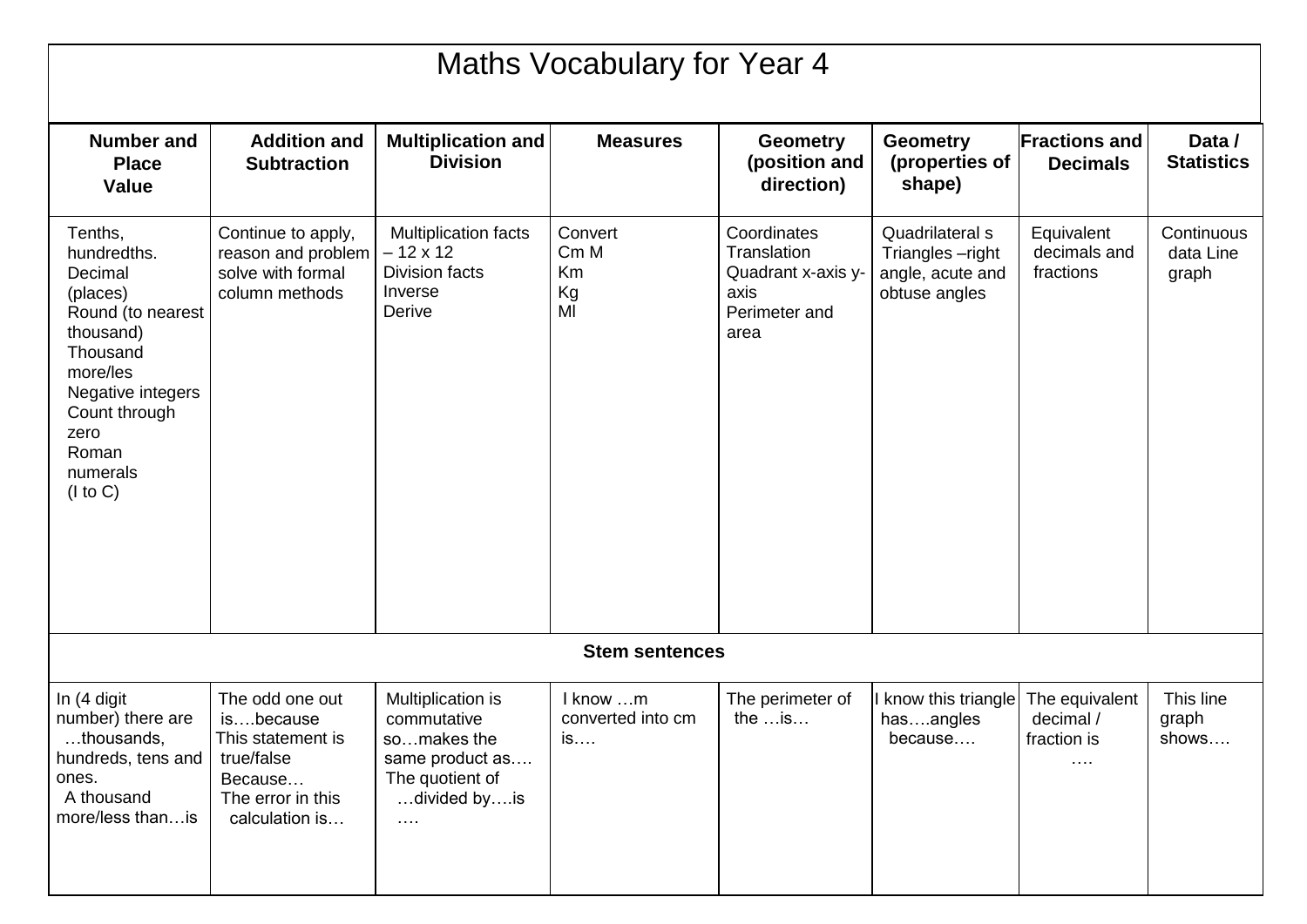| Maths Vocabulary for Year 4                                                                                                                                                                  |                                                                                                                   |                                                                                                                     |                                              |                                                                                   |                                                                         |                                                        |                                  |  |  |
|----------------------------------------------------------------------------------------------------------------------------------------------------------------------------------------------|-------------------------------------------------------------------------------------------------------------------|---------------------------------------------------------------------------------------------------------------------|----------------------------------------------|-----------------------------------------------------------------------------------|-------------------------------------------------------------------------|--------------------------------------------------------|----------------------------------|--|--|
| <b>Number and</b><br><b>Place</b><br><b>Value</b>                                                                                                                                            | <b>Addition and</b><br><b>Subtraction</b>                                                                         | <b>Multiplication and</b><br><b>Division</b>                                                                        | <b>Measures</b>                              | <b>Geometry</b><br>(position and<br>direction)                                    | <b>Geometry</b><br>(properties of<br>shape)                             | <b>Fractions and</b><br><b>Decimals</b>                | Data /<br><b>Statistics</b>      |  |  |
| Tenths,<br>hundredths.<br>Decimal<br>(places)<br>Round (to nearest<br>thousand)<br>Thousand<br>more/les<br>Negative integers<br>Count through<br>zero<br>Roman<br>numerals<br>$($ l to C $)$ | Continue to apply,<br>reason and problem<br>solve with formal<br>column methods                                   | <b>Multiplication facts</b><br>$-12 \times 12$<br><b>Division facts</b><br>Inverse<br>Derive                        | Convert<br>Cm <sub>M</sub><br>Km<br>Kg<br>MI | Coordinates<br>Translation<br>Quadrant x-axis y-<br>axis<br>Perimeter and<br>area | Quadrilateral s<br>Triangles-right<br>angle, acute and<br>obtuse angles | Equivalent<br>decimals and<br>fractions                | Continuous<br>data Line<br>graph |  |  |
|                                                                                                                                                                                              |                                                                                                                   |                                                                                                                     | <b>Stem sentences</b>                        |                                                                                   |                                                                         |                                                        |                                  |  |  |
| In (4 digit<br>number) there are<br>thousands,<br>hundreds, tens and<br>ones.<br>A thousand<br>more/less thanis                                                                              | The odd one out<br>isbecause<br>This statement is<br>true/false<br>Because<br>The error in this<br>calculation is | Multiplication is<br>commutative<br>somakes the<br>same product as<br>The quotient of<br>divided byis<br>$\ldots$ . | I know m<br>converted into cm<br>IS          | The perimeter of<br>the $$ is                                                     | know this triangle<br>hasangles<br>because                              | The equivalent<br>decimal /<br>fraction is<br>$\cdots$ | This line<br>graph<br>snows      |  |  |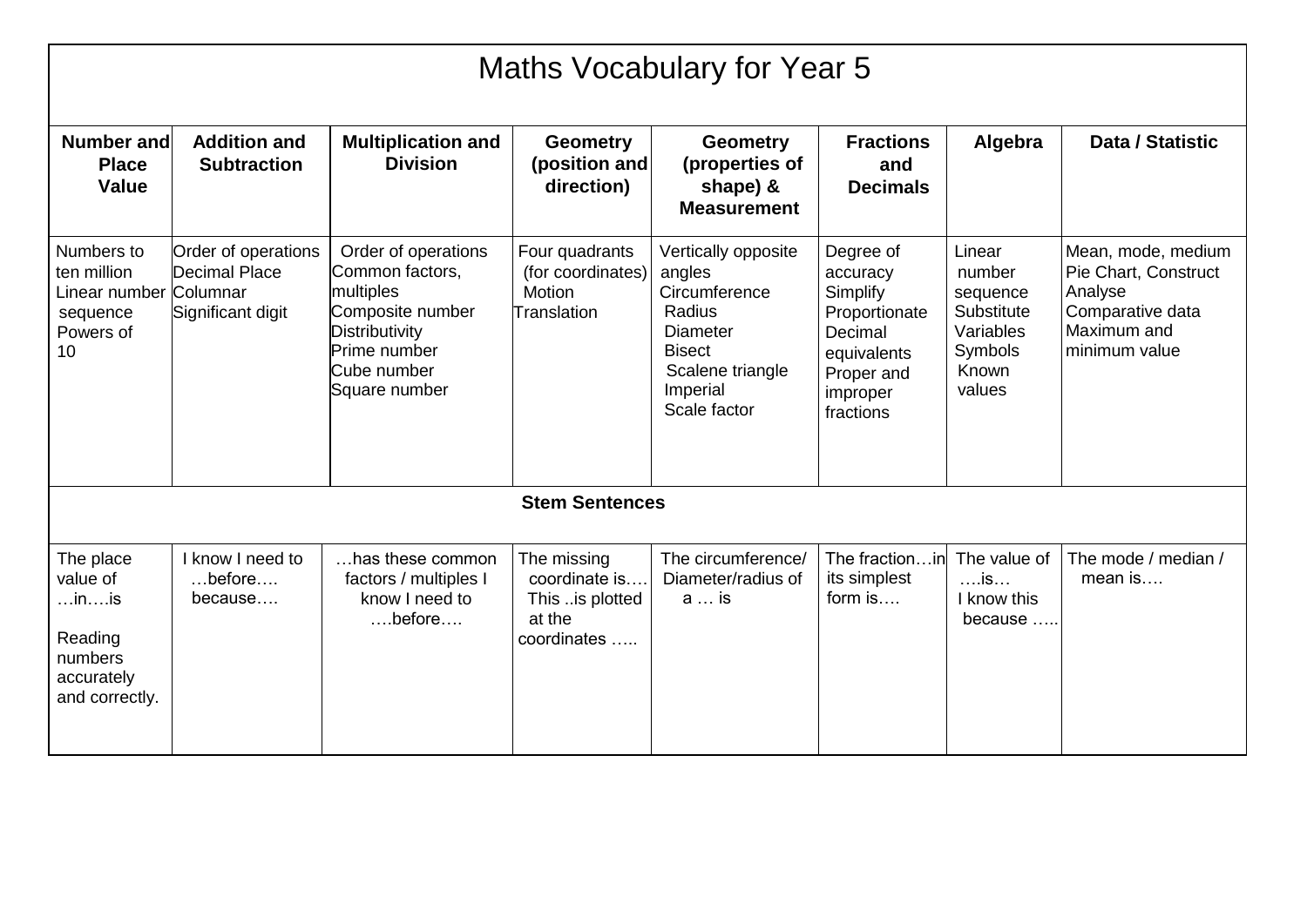|                                                                                                      | <b>Maths Vocabulary for Year 5</b>                        |                                                                                                                                           |                                                                          |                                                                                                                                              |                                                                                                                     |                                                                                       |                                                                                                           |  |  |  |
|------------------------------------------------------------------------------------------------------|-----------------------------------------------------------|-------------------------------------------------------------------------------------------------------------------------------------------|--------------------------------------------------------------------------|----------------------------------------------------------------------------------------------------------------------------------------------|---------------------------------------------------------------------------------------------------------------------|---------------------------------------------------------------------------------------|-----------------------------------------------------------------------------------------------------------|--|--|--|
| <b>Number and</b><br><b>Place</b><br><b>Value</b>                                                    | <b>Addition and</b><br><b>Subtraction</b>                 | <b>Multiplication and</b><br><b>Division</b>                                                                                              | <b>Geometry</b><br>(position and<br>direction)                           | <b>Geometry</b><br>(properties of<br>shape) &<br><b>Measurement</b>                                                                          | <b>Fractions</b><br>and<br><b>Decimals</b>                                                                          | Algebra                                                                               | Data / Statistic                                                                                          |  |  |  |
| Numbers to<br>ten million<br>Linear number Columnar<br>sequence<br>Powers of<br>10                   | Order of operations<br>Decimal Place<br>Significant digit | Order of operations<br>Common factors,<br>multiples<br>Composite number<br>Distributivity<br>Prime number<br>Cube number<br>Square number | Four quadrants<br>(for coordinates)<br>Motion<br>Translation             | Vertically opposite<br>angles<br>Circumference<br>Radius<br><b>Diameter</b><br><b>Bisect</b><br>Scalene triangle<br>Imperial<br>Scale factor | Degree of<br>accuracy<br>Simplify<br>Proportionate<br>Decimal<br>equivalents<br>Proper and<br>improper<br>fractions | Linear<br>number<br>sequence<br>Substitute<br>Variables<br>Symbols<br>Known<br>values | Mean, mode, medium<br>Pie Chart, Construct<br>Analyse<br>Comparative data<br>Maximum and<br>minimum value |  |  |  |
|                                                                                                      |                                                           |                                                                                                                                           | <b>Stem Sentences</b>                                                    |                                                                                                                                              |                                                                                                                     |                                                                                       |                                                                                                           |  |  |  |
| The place<br>value of<br>$\dots$ in $\dots$ is<br>Reading<br>numbers<br>accurately<br>and correctly. | I know I need to<br>$$ before $$<br>because               | has these common<br>factors / multiples I<br>know I need to<br>$\dots$ before $\dots$                                                     | The missing<br>coordinate is<br>This is plotted<br>at the<br>coordinates | The circumference/<br>Diameter/radius of<br>a  is                                                                                            | The fractionin<br>its simplest<br>form is                                                                           | The value of<br>$\dots$ is $\dots$<br>I know this<br>because                          | The mode / median /<br>$mean$ is                                                                          |  |  |  |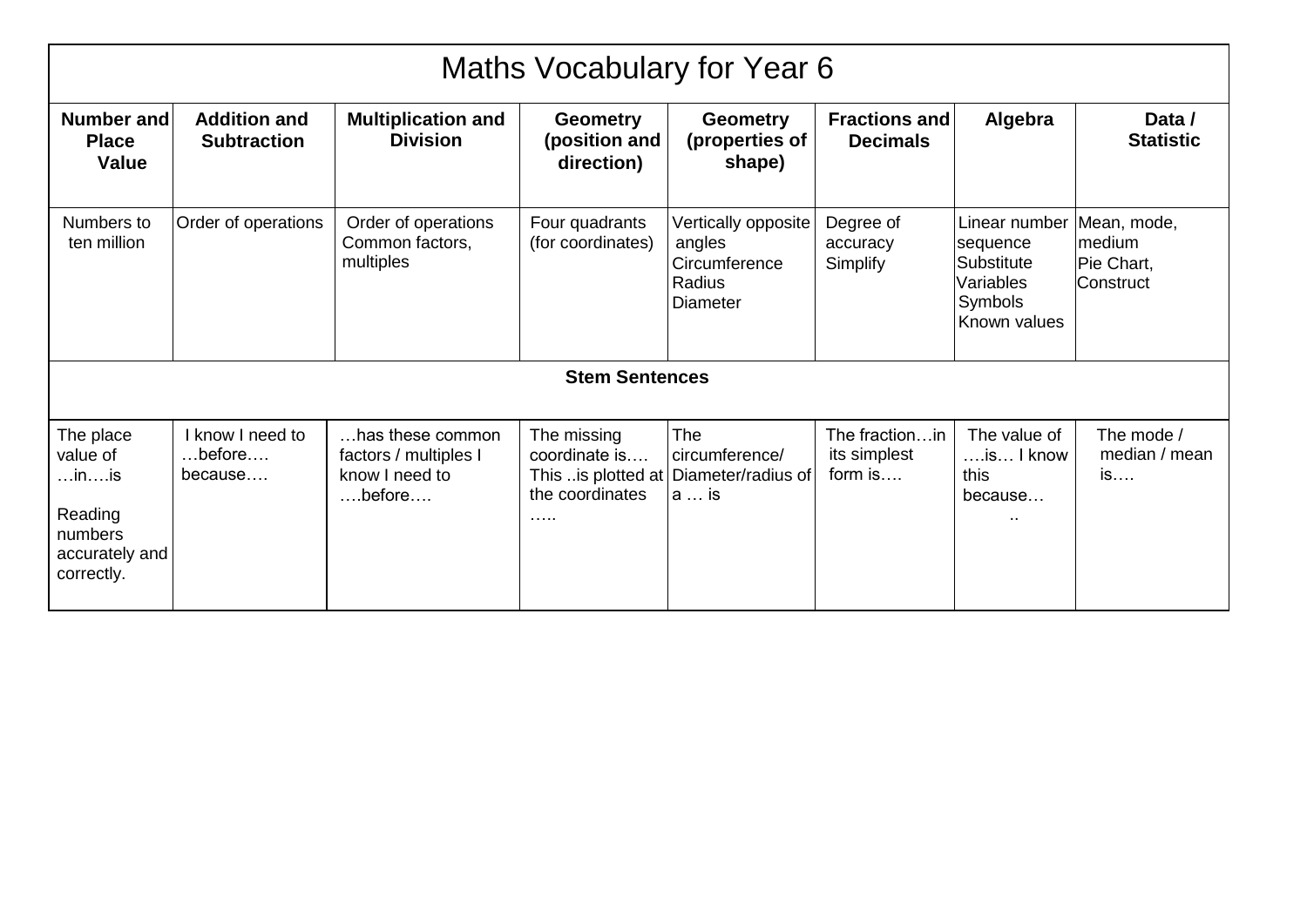| Maths Vocabulary for Year 6                                                                          |                                                       |                                                                                       |                                                                            |                                                                             |                                             |                                                                                        |                                                  |  |  |  |
|------------------------------------------------------------------------------------------------------|-------------------------------------------------------|---------------------------------------------------------------------------------------|----------------------------------------------------------------------------|-----------------------------------------------------------------------------|---------------------------------------------|----------------------------------------------------------------------------------------|--------------------------------------------------|--|--|--|
| Number and<br><b>Place</b><br>Value                                                                  | <b>Addition and</b><br><b>Subtraction</b>             | <b>Multiplication and</b><br><b>Division</b>                                          | <b>Geometry</b><br>(position and<br>direction)                             | <b>Geometry</b><br>(properties of<br>shape)                                 | <b>Fractions and</b><br><b>Decimals</b>     | Algebra                                                                                | Data /<br><b>Statistic</b>                       |  |  |  |
| Numbers to<br>ten million                                                                            | Order of operations                                   | Order of operations<br>Common factors,<br>multiples                                   | Four quadrants<br>(for coordinates)                                        | Vertically opposite<br>angles<br>Circumference<br>Radius<br><b>Diameter</b> | Degree of<br>accuracy<br>Simplify           | Linear number<br>sequence<br><b>Substitute</b><br>Variables<br>Symbols<br>Known values | Mean, mode,<br>medium<br>Pie Chart,<br>Construct |  |  |  |
|                                                                                                      |                                                       |                                                                                       | <b>Stem Sentences</b>                                                      |                                                                             |                                             |                                                                                        |                                                  |  |  |  |
| The place<br>value of<br>$\dots$ in $\dots$ is<br>Reading<br>numbers<br>accurately and<br>correctly. | I know I need to<br>$\dots$ before $\dots$<br>because | has these common<br>factors / multiples I<br>know I need to<br>$\dots$ before $\dots$ | The missing<br>coordinate is<br>This is plotted at<br>the coordinates<br>. | The<br>circumference/<br>Diameter/radius of<br>a  is                        | The fractionin<br>its simplest<br>form $is$ | The value of<br>$\dots$ is $\dots$ I know<br>this<br>because                           | The mode /<br>median / mean<br>is                |  |  |  |